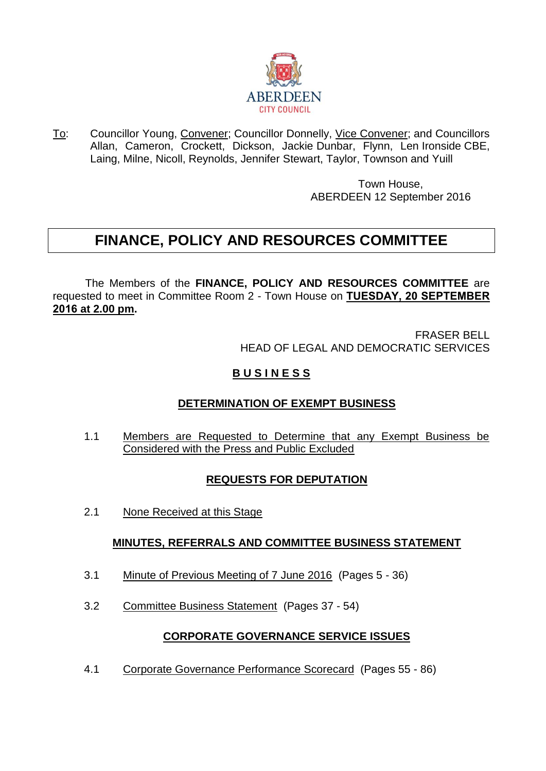

To: Councillor Young, Convener; Councillor Donnelly, Vice Convener; and Councillors Allan, Cameron, Crockett, Dickson, Jackie Dunbar, Flynn, Len Ironside CBE, Laing, Milne, Nicoll, Reynolds, Jennifer Stewart, Taylor, Townson and Yuill

> Town House, ABERDEEN 12 September 2016

# **FINANCE, POLICY AND RESOURCES COMMITTEE**

The Members of the **FINANCE, POLICY AND RESOURCES COMMITTEE** are requested to meet in Committee Room 2 - Town House on **TUESDAY, 20 SEPTEMBER 2016 at 2.00 pm.**

> FRASER BELL HEAD OF LEGAL AND DEMOCRATIC SERVICES

## **B U S I N E S S**

### **DETERMINATION OF EXEMPT BUSINESS**

1.1 Members are Requested to Determine that any Exempt Business be Considered with the Press and Public Excluded

# **REQUESTS FOR DEPUTATION**

2.1 None Received at this Stage

### **MINUTES, REFERRALS AND COMMITTEE BUSINESS STATEMENT**

- 3.1 Minute of Previous Meeting of 7 June 2016 (Pages 5 36)
- 3.2 Committee Business Statement (Pages 37 54)

#### **CORPORATE GOVERNANCE SERVICE ISSUES**

4.1 Corporate Governance Performance Scorecard (Pages 55 - 86)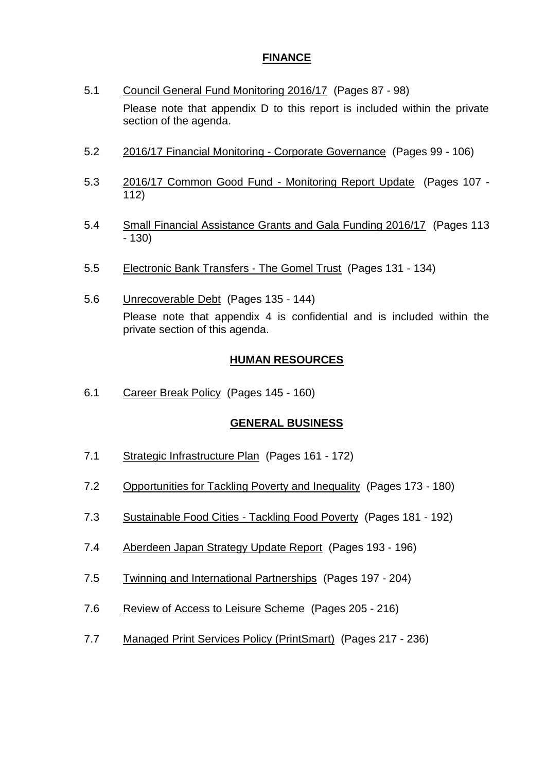### **FINANCE**

- 5.1 Council General Fund Monitoring 2016/17 (Pages 87 98) Please note that appendix D to this report is included within the private section of the agenda.
- 5.2 2016/17 Financial Monitoring Corporate Governance (Pages 99 106)
- 5.3 2016/17 Common Good Fund Monitoring Report Update (Pages 107 112)
- 5.4 Small Financial Assistance Grants and Gala Funding 2016/17 (Pages 113 - 130)
- 5.5 Electronic Bank Transfers The Gomel Trust (Pages 131 134)
- 5.6 Unrecoverable Debt (Pages 135 144) Please note that appendix 4 is confidential and is included within the private section of this agenda.

#### **HUMAN RESOURCES**

6.1 Career Break Policy (Pages 145 - 160)

#### **GENERAL BUSINESS**

- 7.1 Strategic Infrastructure Plan (Pages 161 172)
- 7.2 Opportunities for Tackling Poverty and Inequality (Pages 173 180)
- 7.3 Sustainable Food Cities Tackling Food Poverty (Pages 181 192)
- 7.4 Aberdeen Japan Strategy Update Report (Pages 193 196)
- 7.5 Twinning and International Partnerships (Pages 197 204)
- 7.6 Review of Access to Leisure Scheme (Pages 205 216)
- 7.7 Managed Print Services Policy (PrintSmart) (Pages 217 236)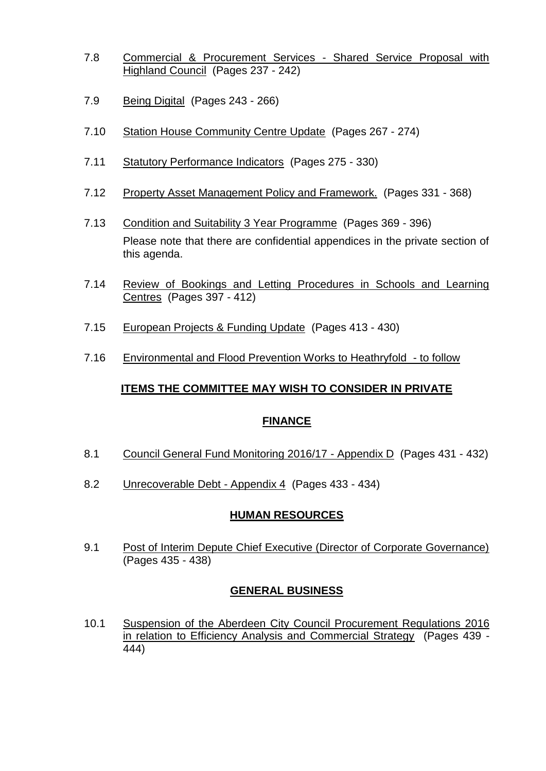- 7.8 Commercial & Procurement Services Shared Service Proposal with Highland Council (Pages 237 - 242)
- 7.9 Being Digital (Pages 243 266)
- 7.10 Station House Community Centre Update (Pages 267 274)
- 7.11 Statutory Performance Indicators (Pages 275 330)
- 7.12 Property Asset Management Policy and Framework. (Pages 331 368)
- 7.13 Condition and Suitability 3 Year Programme (Pages 369 396) Please note that there are confidential appendices in the private section of this agenda.
- 7.14 Review of Bookings and Letting Procedures in Schools and Learning Centres (Pages 397 - 412)
- 7.15 European Projects & Funding Update (Pages 413 430)
- 7.16 Environmental and Flood Prevention Works to Heathryfold to follow

#### **ITEMS THE COMMITTEE MAY WISH TO CONSIDER IN PRIVATE**

#### **FINANCE**

- 8.1 Council General Fund Monitoring 2016/17 Appendix D (Pages 431 432)
- 8.2 Unrecoverable Debt Appendix 4 (Pages 433 434)

#### **HUMAN RESOURCES**

9.1 Post of Interim Depute Chief Executive (Director of Corporate Governance) (Pages 435 - 438)

#### **GENERAL BUSINESS**

10.1 Suspension of the Aberdeen City Council Procurement Regulations 2016 in relation to Efficiency Analysis and Commercial Strategy (Pages 439 - 444)